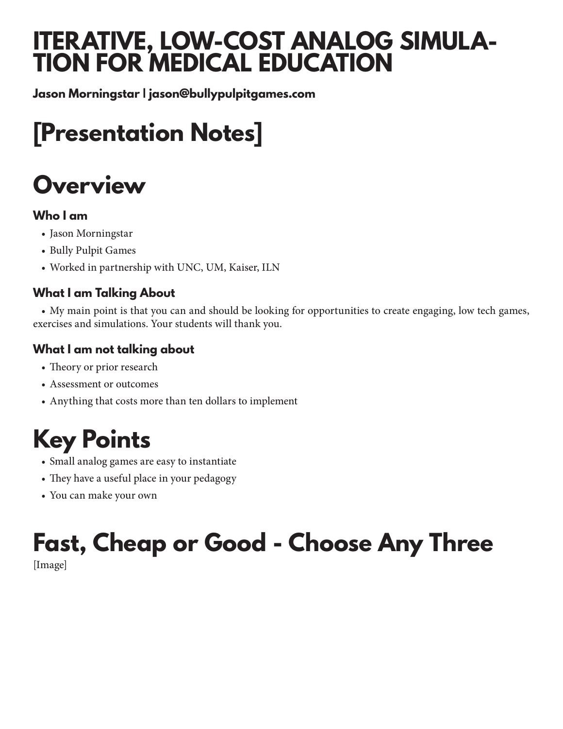### **ITERATIVE, LOW-COST ANALOG SIMULA-TION FOR MEDICAL EDUCATION**

**Jason Morningstar | jason@bullypulpitgames.com**

## **[Presentation Notes]**

## **Overview**

#### **Who I am**

- Jason Morningstar
- Bully Pulpit Games
- Worked in partnership with UNC, UM, Kaiser, ILN

### **What I am Talking About**

• My main point is that you can and should be looking for opportunities to create engaging, low tech games, exercises and simulations. Your students will thank you.

#### **What I am not talking about**

- Theory or prior research
- Assessment or outcomes
- Anything that costs more than ten dollars to implement

## **Key Points**

- Small analog games are easy to instantiate
- They have a useful place in your pedagogy
- You can make your own

# **Fast, Cheap or Good - Choose Any Three**

[Image]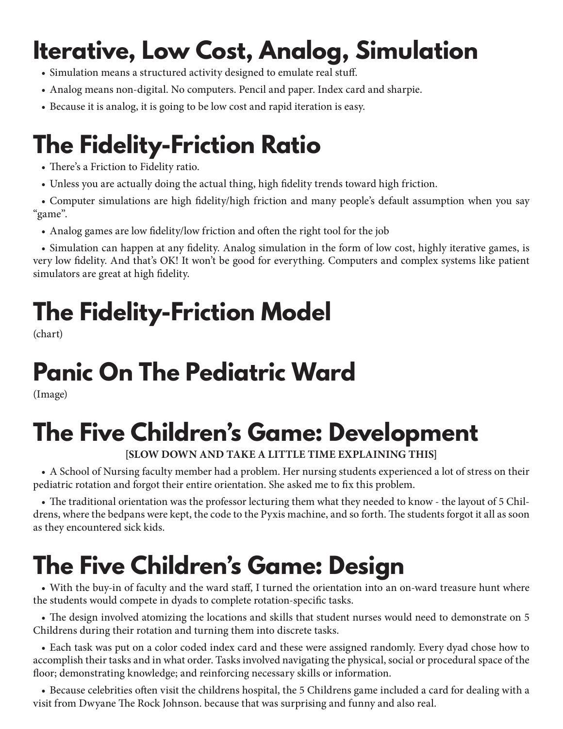## **Iterative, Low Cost, Analog, Simulation**

- Simulation means a structured activity designed to emulate real stuff.
- Analog means non-digital. No computers. Pencil and paper. Index card and sharpie.
- Because it is analog, it is going to be low cost and rapid iteration is easy.

### **The Fidelity-Friction Ratio**

- There's a Friction to Fidelity ratio.
- Unless you are actually doing the actual thing, high fidelity trends toward high friction.
- Computer simulations are high fidelity/high friction and many people's default assumption when you say "game".
	- Analog games are low fidelity/low friction and often the right tool for the job

• Simulation can happen at any fidelity. Analog simulation in the form of low cost, highly iterative games, is very low fidelity. And that's OK! It won't be good for everything. Computers and complex systems like patient simulators are great at high fidelity.

## **The Fidelity-Friction Model**

(chart)

## **Panic On The Pediatric Ward**

(Image)

## **The Five Children's Game: Development**

#### **[SLOW DOWN AND TAKE A LITTLE TIME EXPLAINING THIS]**

• A School of Nursing faculty member had a problem. Her nursing students experienced a lot of stress on their pediatric rotation and forgot their entire orientation. She asked me to fix this problem.

• The traditional orientation was the professor lecturing them what they needed to know - the layout of 5 Childrens, where the bedpans were kept, the code to the Pyxis machine, and so forth. The students forgot it all as soon as they encountered sick kids.

## **The Five Children's Game: Design**

• With the buy-in of faculty and the ward staff, I turned the orientation into an on-ward treasure hunt where the students would compete in dyads to complete rotation-specific tasks.

• The design involved atomizing the locations and skills that student nurses would need to demonstrate on 5 Childrens during their rotation and turning them into discrete tasks.

• Each task was put on a color coded index card and these were assigned randomly. Every dyad chose how to accomplish their tasks and in what order. Tasks involved navigating the physical, social or procedural space of the floor; demonstrating knowledge; and reinforcing necessary skills or information.

• Because celebrities often visit the childrens hospital, the 5 Childrens game included a card for dealing with a visit from Dwyane The Rock Johnson. because that was surprising and funny and also real.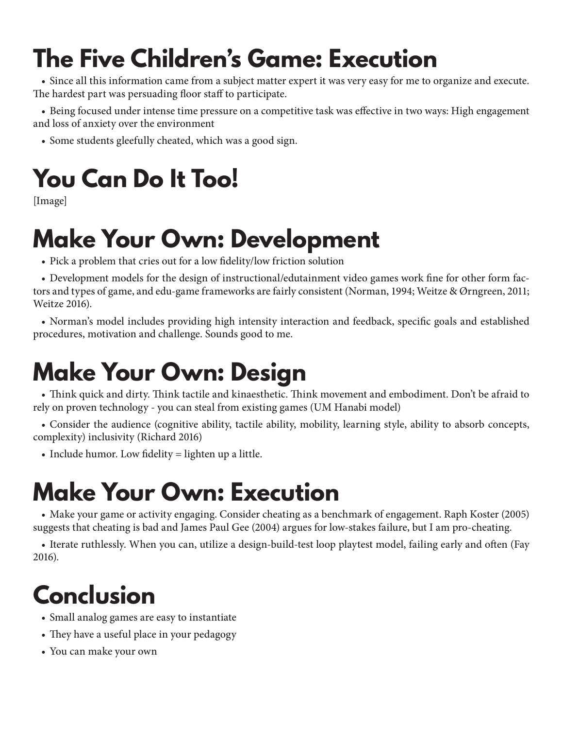## **The Five Children's Game: Execution**

• Since all this information came from a subject matter expert it was very easy for me to organize and execute. The hardest part was persuading floor staff to participate.

• Being focused under intense time pressure on a competitive task was effective in two ways: High engagement and loss of anxiety over the environment

• Some students gleefully cheated, which was a good sign.

# **You Can Do It Too!**

[Image]

## **Make Your Own: Development**

• Pick a problem that cries out for a low fidelity/low friction solution

• Development models for the design of instructional/edutainment video games work fine for other form factors and types of game, and edu-game frameworks are fairly consistent (Norman, 1994; Weitze & Ørngreen, 2011; Weitze 2016).

• Norman's model includes providing high intensity interaction and feedback, specific goals and established procedures, motivation and challenge. Sounds good to me.

## **Make Your Own: Design**

• Think quick and dirty. Think tactile and kinaesthetic. Think movement and embodiment. Don't be afraid to rely on proven technology - you can steal from existing games (UM Hanabi model)

• Consider the audience (cognitive ability, tactile ability, mobility, learning style, ability to absorb concepts, complexity) inclusivity (Richard 2016)

• Include humor. Low fidelity = lighten up a little.

## **Make Your Own: Execution**

• Make your game or activity engaging. Consider cheating as a benchmark of engagement. Raph Koster (2005) suggests that cheating is bad and James Paul Gee (2004) argues for low-stakes failure, but I am pro-cheating.

• Iterate ruthlessly. When you can, utilize a design-build-test loop playtest model, failing early and often (Fay 2016).

## **Conclusion**

- Small analog games are easy to instantiate
- They have a useful place in your pedagogy
- You can make your own